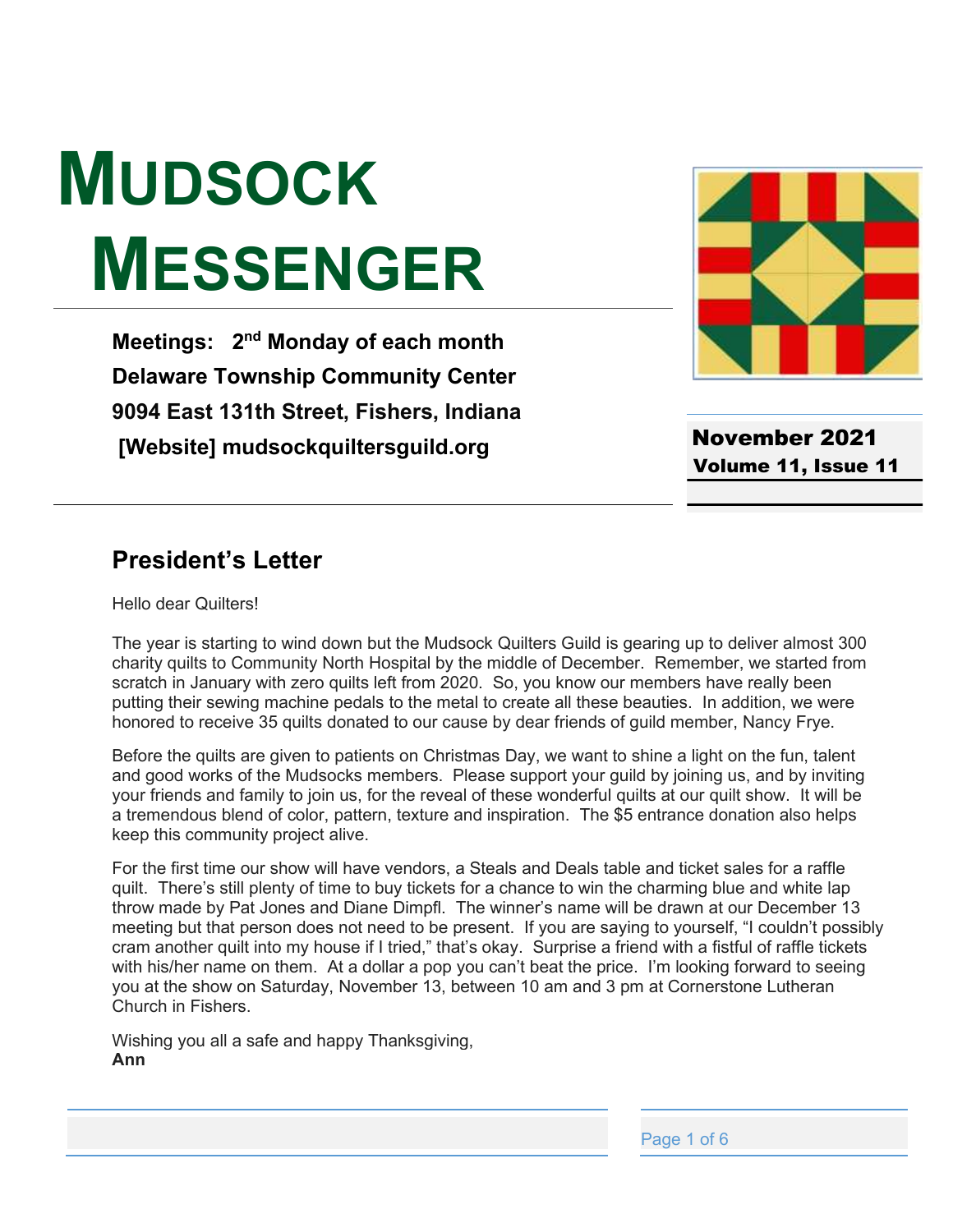# **MUDSOCK MESSENGER**

**Meetings: 2nd Monday of each month Delaware Township Community Center 9094 East 131th Street, Fishers, Indiana [Website] mudsockquiltersguild.org**



November 2021 Volume 11, Issue 11

#### **President's Letter**

Hello dear Quilters!

The year is starting to wind down but the Mudsock Quilters Guild is gearing up to deliver almost 300 charity quilts to Community North Hospital by the middle of December. Remember, we started from scratch in January with zero quilts left from 2020. So, you know our members have really been putting their sewing machine pedals to the metal to create all these beauties. In addition, we were honored to receive 35 quilts donated to our cause by dear friends of guild member, Nancy Frye.

Before the quilts are given to patients on Christmas Day, we want to shine a light on the fun, talent and good works of the Mudsocks members. Please support your guild by joining us, and by inviting your friends and family to join us, for the reveal of these wonderful quilts at our quilt show. It will be a tremendous blend of color, pattern, texture and inspiration. The \$5 entrance donation also helps keep this community project alive.

For the first time our show will have vendors, a Steals and Deals table and ticket sales for a raffle quilt. There's still plenty of time to buy tickets for a chance to win the charming plue and while lap throw made by Pat Jones and Diane Dimpfl. The winner's name will be drawn at our December 13 meeting but that person does not need to be present. If you are saying to yourself, "I couldn't possibly cram another quilt into my house if I tried," that's okay. Surprise a friend with a fistful of raffle tickets with his/her name on them. At a dollar a pop you can't beat the price. I'm looking forward to seeing you at the show on Saturday, November 13, between 10 am and 3 pm at Cornerstone Lutheran Church in Fishers.

Wishing you all a safe and happy Thanksgiving, **Ann**

Page 1 of 6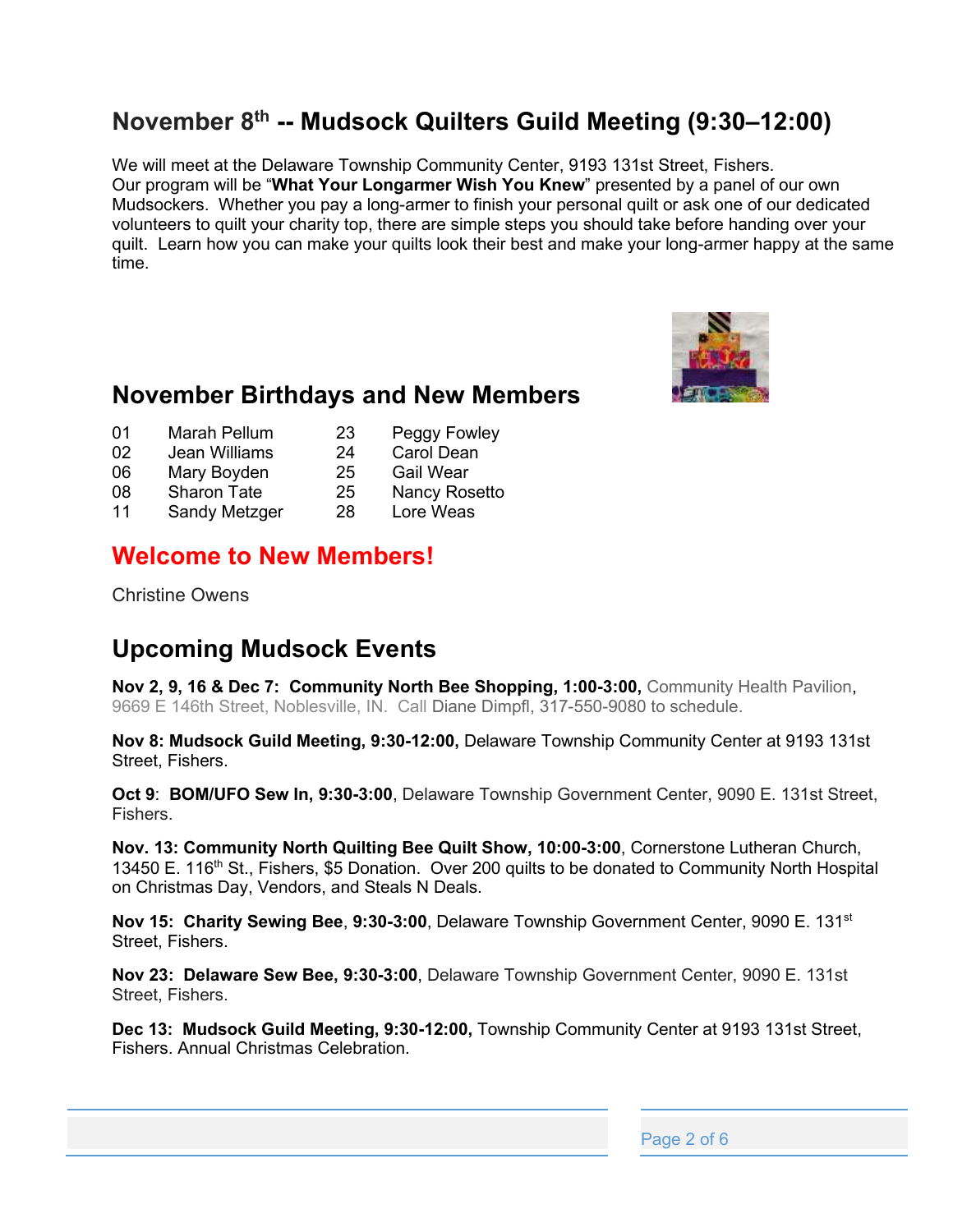## **November 8th -- Mudsock Quilters Guild Meeting (9:30±12:00)**

We will meet at the Delaware Township Community Center, 9193 131st Street, Fishers. Our program will be "What Your Longarmer Wish You Knew" presented by a panel of our own Mudsockers. Whether you pay a long-armer to finish your personal quilt or ask one of our dedicated volunteers to quilt your charity top, there are simple steps you should take before handing over your quilt. Learn how you can make your quilts look their best and make your long-armer happy at the same time.



#### **November Birthdays and New Members**

- 01 Marah Pellum 23 Peggy Fowley
- 02 Jean Williams 24 Carol Dean
- 06 Mary Boyden 25 Gail Wear
- 08 Sharon Tate 25 Nancy Rosetto
- 11 Sandy Metzger 28 Lore Weas

#### **Welcome to New Members!**

Christine Owens

## **Upcoming Mudsock Events**

**Nov 2, 9, 16 & Dec 7: Community North Bee Shopping, 1:00-3:00,** Community Health Pavilion, 9669 E 146th Street, Noblesville, IN. Call Diane Dimpfl, 317-550-9080 to schedule.

**Nov 8: Mudsock Guild Meeting, 9:30-12:00,** Delaware Township Community Center at 9193 131st Street, Fishers.

**Oct 9**: **BOM/UFO Sew In, 9:30-3:00**, Delaware Township Government Center, 9090 E. 131st Street, Fishers.

**Nov. 13: Community North Quilting Bee Quilt Show, 10:00-3:00**, Cornerstone Lutheran Church, 13450 E. 116<sup>th</sup> St., Fishers, \$5 Donation. Over 200 quilts to be donated to Community North Hospital on Christmas Day, Vendors, and Steals N Deals.

**Nov 15: Charity Sewing Bee**, **9:30-3:00**, Delaware Township Government Center, 9090 E. 131st Street, Fishers.

**Nov 23: Delaware Sew Bee, 9:30-3:00**, Delaware Township Government Center, 9090 E. 131st Street, Fishers.

**Dec 13: Mudsock Guild Meeting, 9:30-12:00,** Township Community Center at 9193 131st Street, Fishers. Annual Christmas Celebration.

Page 2 of 6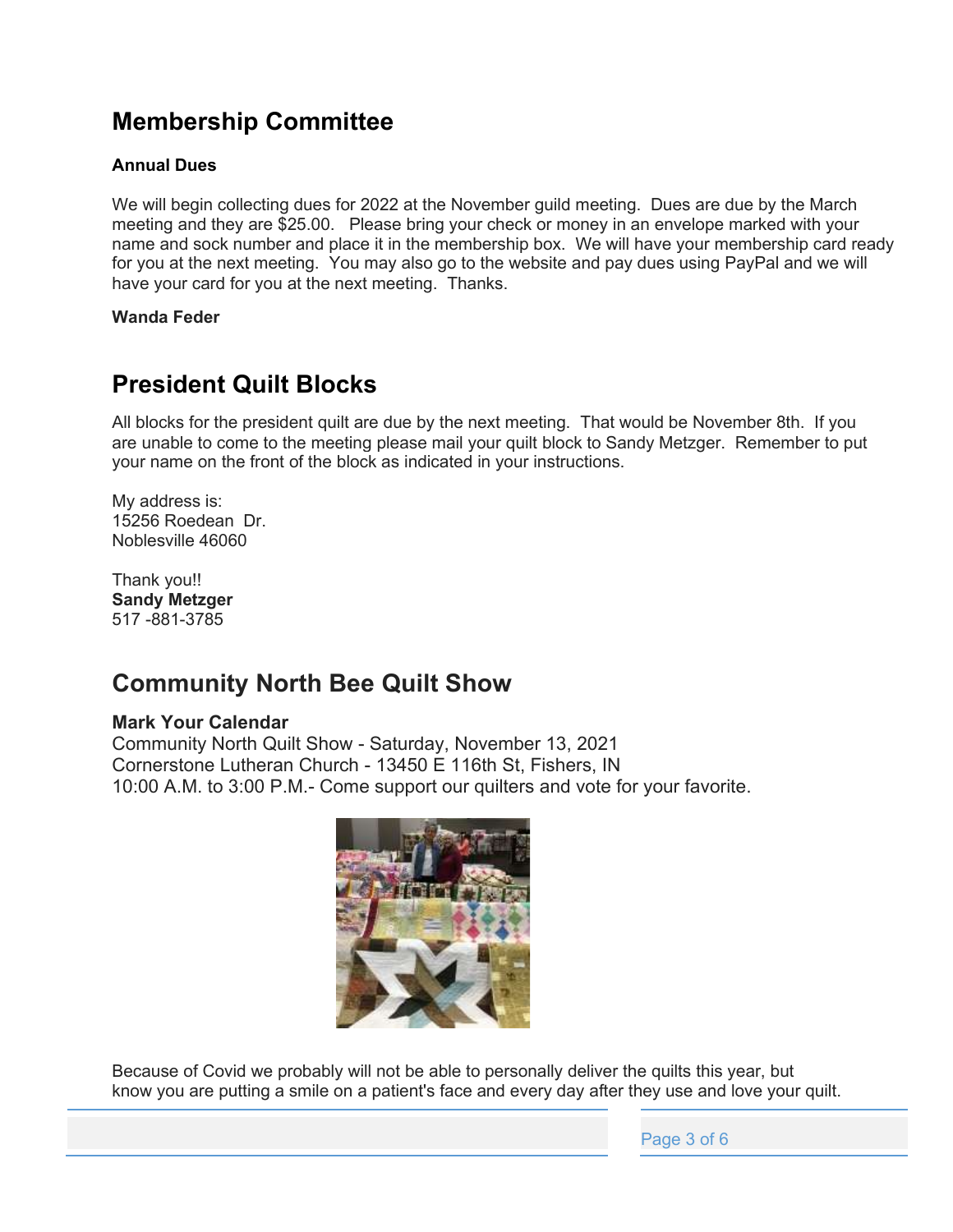## **Membership Committee**

#### **Annual Dues**

We will begin collecting dues for 2022 at the November guild meeting. Dues are due by the March meeting and they are \$25.00. Please bring your check or money in an envelope marked with your name and sock number and place it in the membership box. We will have your membership card ready for you at the next meeting. You may also go to the website and pay dues using PayPal and we will have your card for you at the next meeting. Thanks.

**Wanda Feder**

## **President Quilt Blocks**

All blocks for the president quilt are due by the next meeting. That would be November 8th. If you are unable to come to the meeting please mail your quilt block to Sandy Metzger. Remember to put your name on the front of the block as indicated in your instructions.

My address is: 15256 Roedean Dr. Noblesville 46060

Thank you!! **Sandy Metzger** 517 -881-3785

## **Community North Bee Quilt Show**

#### **Mark Your Calendar**

Community North Quilt Show - Saturday, November 13, 2021 Cornerstone Lutheran Church - 13450 E 116th St, Fishers, IN 10:00 A.M. to 3:00 P.M.- Come support our quilters and vote for your favorite.



Because of Covid we probably will not be able to personally deliver the quilts this year, but know you are putting a smile on a patient's face and every day after they use and love your quilt.

Page 3 of 6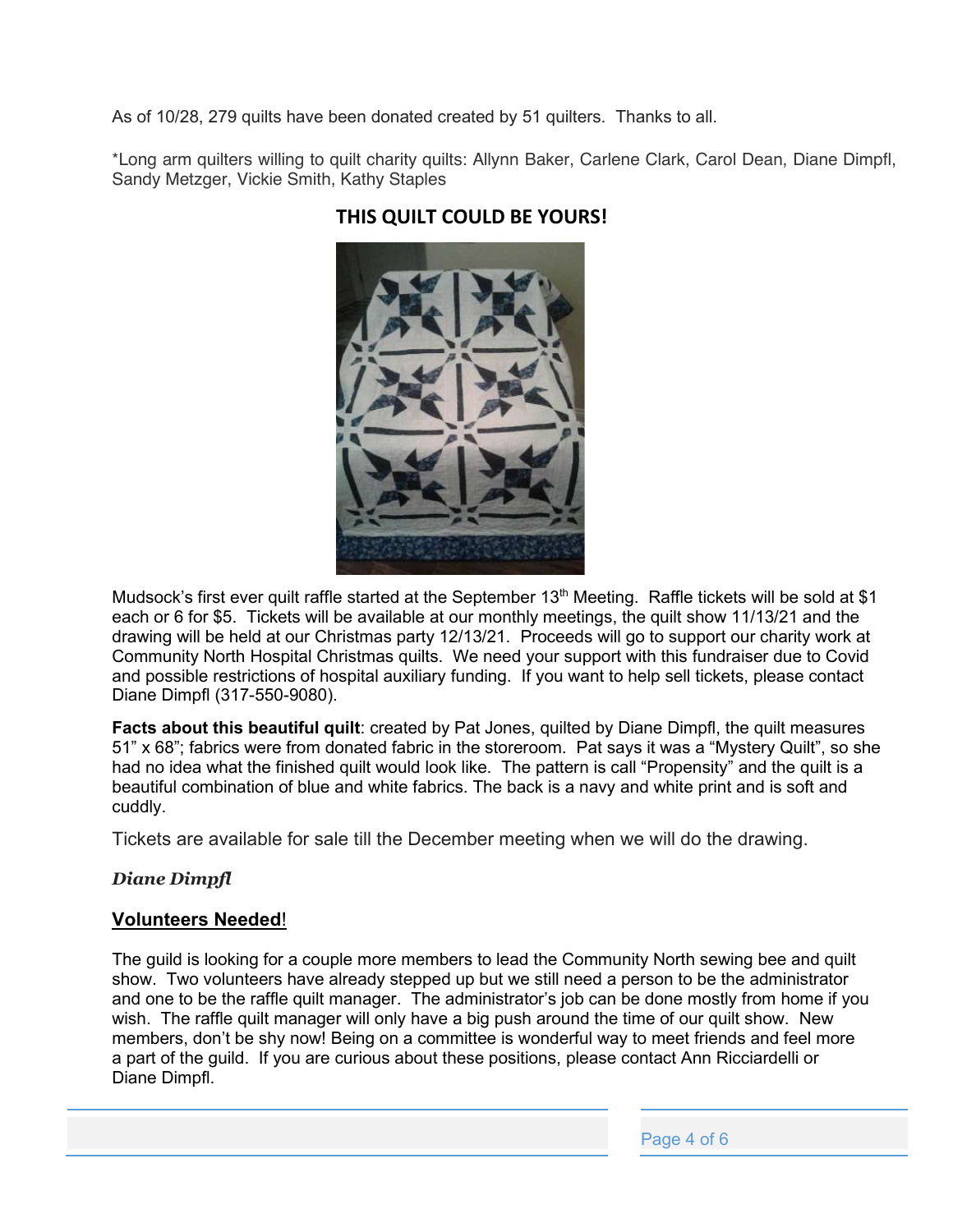As of 10/28, 279 quilts have been donated created by 51 quilters. Thanks to all.

\*Long arm quilters willing to quilt charity quilts: Allynn Baker, Carlene Clark, Carol Dean, Diane Dimpfl, Sandy Metzger, Vickie Smith, Kathy Staples



#### **THIS QUILT COULD BE YOURS!**

Mudsock's first ever quilt raffle started at the September 13<sup>th</sup> Meeting. Raffle tickets will be sold at \$1 each or 6 for \$5. Tickets will be available at our monthly meetings, the quilt show 11/13/21 and the drawing will be held at our Christmas party 12/13/21. Proceeds will go to support our charity work at Community North Hospital Christmas quilts. We need your support with this fundraiser due to Covid and possible restrictions of hospital auxiliary funding. If you want to help sell tickets, please contact Diane Dimpfl (317-550-9080).

**Facts about this beautiful quilt**: created by Pat Jones, quilted by Diane Dimpfl, the quilt measures 51"  $\times$  68"; fabrics were from donated fabric in the storeroom. Pat says it was a "Mystery Quilt", so she had no idea what the finished quilt would look like. The pattern is call "Propensity" and the quilt is a beautiful combination of blue and white fabrics. The back is a navy and white print and is soft and cuddly.

Tickets are available for sale till the December meeting when we will do the drawing.

#### *Diane Dimpfl*

#### **Volunteers Needed**!

The guild is looking for a couple more members to lead the Community North sewing bee and quilt show. Two volunteers have already stepped up but we still need a person to be the administrator and one to be the raffle quilt manager. The administrator's job can be done mostly from home if you wish. The raffle quilt manager will only have a big push around the time of our quilt show. New members, don't be shy now! Being on a committee is wonderful way to meet friends and feel more a part of the guild. If you are curious about these positions, please contact Ann Ricciardelli or Diane Dimpfl.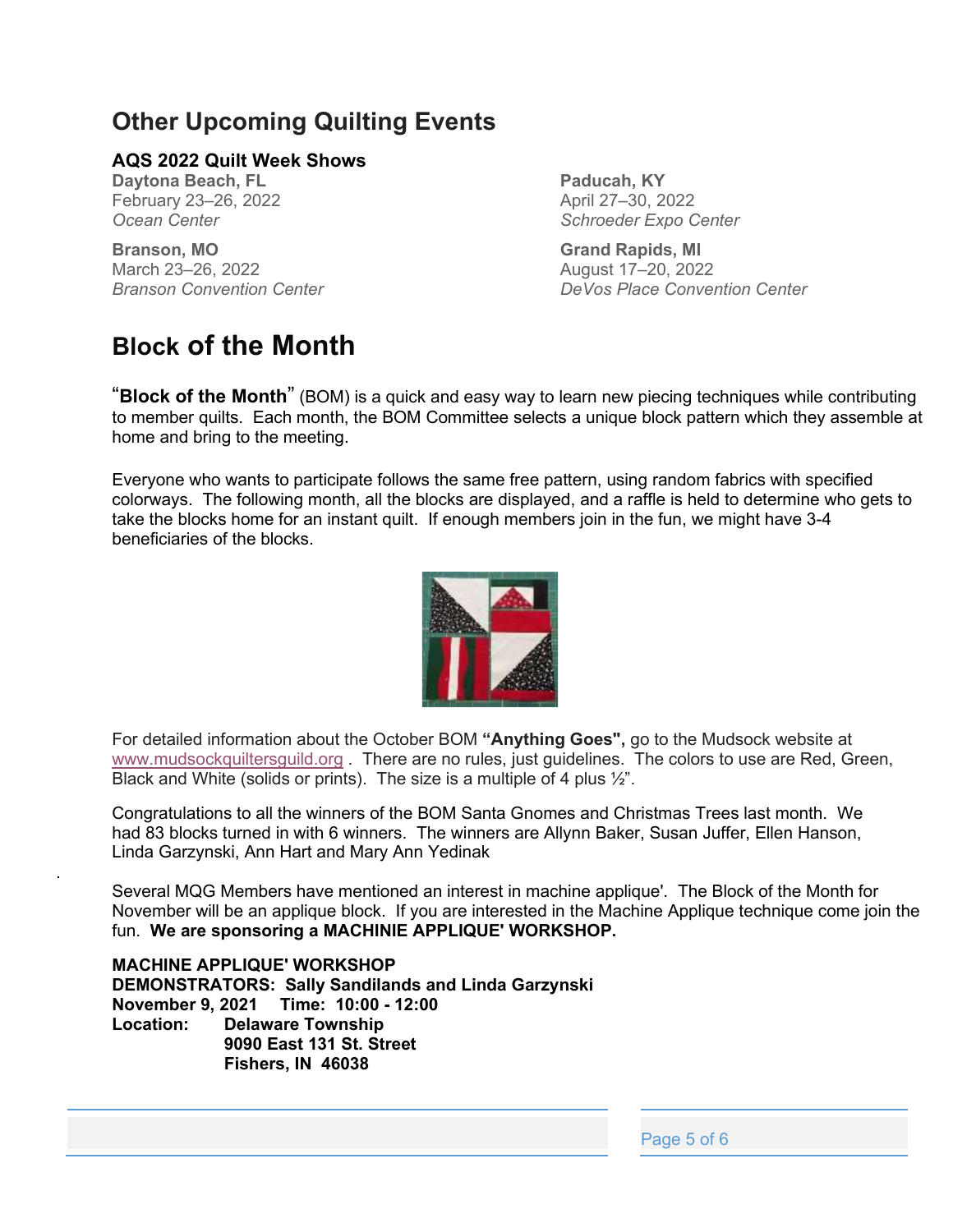## **Other Upcoming Quilting Events**

#### **AQS 2022 Quilt Week Shows**

**Daytona Beach, FL** February 23-26, 2022 *Ocean Center*

.

**Branson, MO** March 23-26, 2022 *Branson Convention Center*

## **Block of the Month**

**Paducah, KY** April 27-30, 2022 *Schroeder Expo Center*

**Grand Rapids, MI** August 17±20, 2022 *DeVos Place Convention Center*

³**Block of the Month**´ (BOM) is a quick and easy way to learn new piecing techniques while contributing to member quilts. Each month, the BOM Committee selects a unique block pattern which they assemble at home and bring to the meeting.

Everyone who wants to participate follows the same free pattern, using random fabrics with specified colorways. The following month, all the blocks are displayed, and a raffle is held to determine who gets to take the blocks home for an instant quilt. If enough members join in the fun, we might have 3-4 beneficiaries of the blocks.



For detailed information about the October BOM "Anything Goes", go to the Mudsock website at www.mudsockquiltersguild.org . There are no rules, just guidelines. The colors to use are Red, Green, Black and White (solids or prints). The size is a multiple of 4 plus  $\frac{1}{2}$ .

Congratulations to all the winners of the BOM Santa Gnomes and Christmas Trees last month. We had 83 blocks turned in with 6 winners. The winners are Allynn Baker, Susan Juffer, Ellen Hanson, Linda Garzynski, Ann Hart and Mary Ann Yedinak

Several MQG Members have mentioned an interest in machine applique'. The Block of the Month for November will be an applique block. If you are interested in the Machine Applique technique come join the fun. **We are sponsoring a MACHINIE APPLIQUE' WORKSHOP.**

**MACHINE APPLIQUE' WORKSHOP DEMONSTRATORS: Sally Sandilands and Linda Garzynski November 9, 2021 Time: 10:00 - 12:00 Location: Delaware Township 9090 East 131 St. Street Fishers, IN 46038**

Page 5 of 6